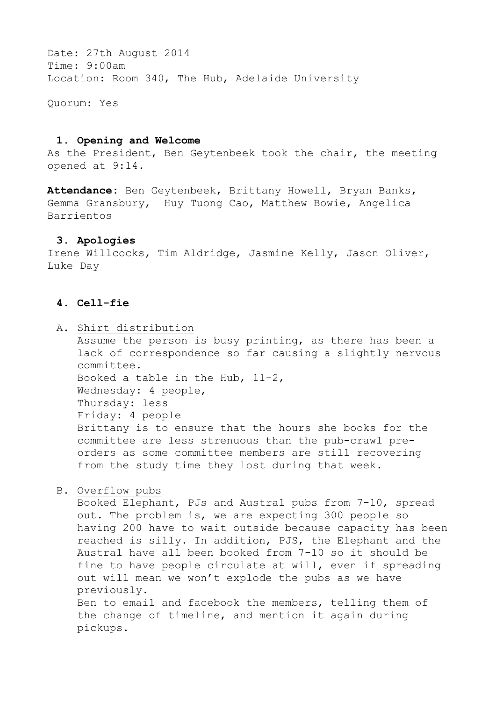Date: 27th August 2014 Time: 9:00am Location: Room 340, The Hub, Adelaide University

Quorum: Yes

#### **1. Opening and Welcome**

As the President, Ben Geytenbeek took the chair, the meeting opened at 9:14.

**Attendance:** Ben Geytenbeek, Brittany Howell, Bryan Banks, Gemma Gransbury, Huy Tuong Cao, Matthew Bowie, Angelica Barrientos

#### **3. Apologies**

Irene Willcocks, Tim Aldridge, Jasmine Kelly, Jason Oliver, Luke Day

#### **4. Cell-fie**

- A. Shirt distribution Assume the person is busy printing, as there has been a lack of correspondence so far causing a slightly nervous committee. Booked a table in the Hub, 11-2, Wednesday: 4 people, Thursday: less Friday: 4 people Brittany is to ensure that the hours she books for the committee are less strenuous than the pub-crawl preorders as some committee members are still recovering from the study time they lost during that week.
- B. Overflow pubs

Booked Elephant, PJs and Austral pubs from 7-10, spread out. The problem is, we are expecting 300 people so having 200 have to wait outside because capacity has been reached is silly. In addition, PJS, the Elephant and the Austral have all been booked from 7-10 so it should be fine to have people circulate at will, even if spreading out will mean we won't explode the pubs as we have previously. Ben to email and facebook the members, telling them of the change of timeline, and mention it again during pickups.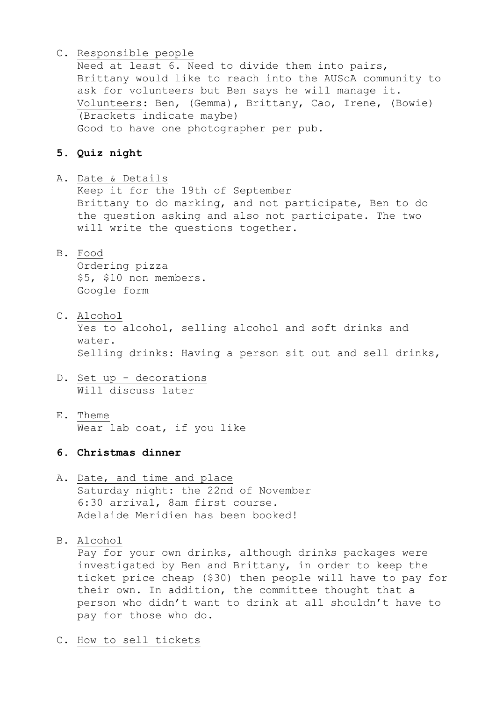### C. Responsible people

Need at least 6. Need to divide them into pairs, Brittany would like to reach into the AUScA community to ask for volunteers but Ben says he will manage it. Volunteers: Ben, (Gemma), Brittany, Cao, Irene, (Bowie) (Brackets indicate maybe) Good to have one photographer per pub.

# **5. Quiz night**

A. Date & Details

Keep it for the 19th of September Brittany to do marking, and not participate, Ben to do the question asking and also not participate. The two will write the questions together.

B. Food

Ordering pizza \$5, \$10 non members. Google form

- C. Alcohol Yes to alcohol, selling alcohol and soft drinks and water. Selling drinks: Having a person sit out and sell drinks,
- D. Set up decorations Will discuss later
- E. Theme Wear lab coat, if you like

# **6. Christmas dinner**

 A. Date, and time and place Saturday night: the 22nd of November 6:30 arrival, 8am first course. Adelaide Meridien has been booked!

B. Alcohol

Pay for your own drinks, although drinks packages were investigated by Ben and Brittany, in order to keep the ticket price cheap (\$30) then people will have to pay for their own. In addition, the committee thought that a person who didn't want to drink at all shouldn't have to pay for those who do.

C. How to sell tickets